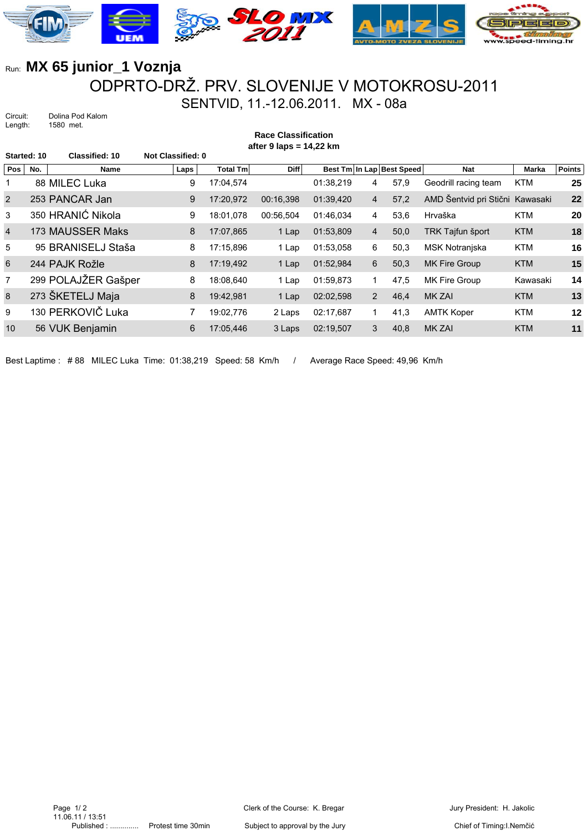

## Run: **MX 65 junior\_1 Voznja** ODPRTO-DRŽ. PRV. SLOVENIJE V MOTOKROSU-2011 SENTVID, 11.-12.06.2011. MX - 08a

Circuit: Dolina Pod Kalom<br>Length: 1580 met. 1580 met.

**Race Classification after 9 laps = 14,22 km**

| Started: 10    |     | <b>Classified: 10</b> | <b>Not Classified: 0</b> |                 |             |           |                |                           |                                 |              |               |
|----------------|-----|-----------------------|--------------------------|-----------------|-------------|-----------|----------------|---------------------------|---------------------------------|--------------|---------------|
| Pos            | No. | <b>Name</b>           | Laps                     | <b>Total Tm</b> | <b>Diff</b> |           |                | Best Tm In Lap Best Speed | <b>Nat</b>                      | <b>Marka</b> | <b>Points</b> |
|                |     | 88 MILEC Luka         | 9                        | 17:04,574       |             | 01:38,219 | 4              | 57,9                      | Geodrill racing team            | <b>KTM</b>   | 25            |
| 2              |     | 253 PANCAR Jan        | 9                        | 17:20.972       | 00:16.398   | 01:39,420 | $\overline{4}$ | 57,2                      | AMD Šentvid pri Stični Kawasaki |              | 22            |
| 3              |     | 350 HRANIĆ Nikola     | 9                        | 18:01.078       | 00:56,504   | 01:46,034 | 4              | 53,6                      | Hrvaška                         | <b>KTM</b>   | 20            |
| $\overline{4}$ |     | 173 MAUSSER Maks      | 8                        | 17:07.865       | 1 Lap       | 01:53,809 | $\overline{4}$ | 50,0                      | <b>TRK Tajfun šport</b>         | <b>KTM</b>   | 18            |
| 5              |     | 95 BRANISELJ Staša    | 8                        | 17:15,896       | 1 Lap       | 01:53,058 | 6              | 50,3                      | <b>MSK Notranjska</b>           | <b>KTM</b>   | 16            |
| 6              |     | 244 PAJK Rožle        | 8                        | 17:19,492       | 1 Lap       | 01:52,984 | 6              | 50,3                      | <b>MK Fire Group</b>            | <b>KTM</b>   | 15            |
| $\overline{7}$ |     | 299 POLAJŽER Gašper   | 8                        | 18:08.640       | 1 Lap       | 01:59,873 | 1              | 47,5                      | MK Fire Group                   | Kawasaki     | 14            |
| 8              |     | 273 ŠKETELJ Maja      | 8                        | 19:42,981       | 1 Lap       | 02:02.598 | 2              | 46.4                      | <b>MK ZAI</b>                   | <b>KTM</b>   | 13            |
| 9              |     | 130 PERKOVIČ Luka     |                          | 19:02,776       | 2 Laps      | 02:17.687 | 1              | 41,3                      | <b>AMTK Koper</b>               | <b>KTM</b>   | 12            |
| 10             |     | 56 VUK Benjamin       | 6                        | 17:05,446       | 3 Laps      | 02:19,507 | 3              | 40,8                      | <b>MK ZAI</b>                   | <b>KTM</b>   | 11            |
|                |     |                       |                          |                 |             |           |                |                           |                                 |              |               |

Best Laptime : #88 MILEC Luka Time: 01:38,219 Speed: 58 Km/h / Average Race Speed: 49,96 Km/h